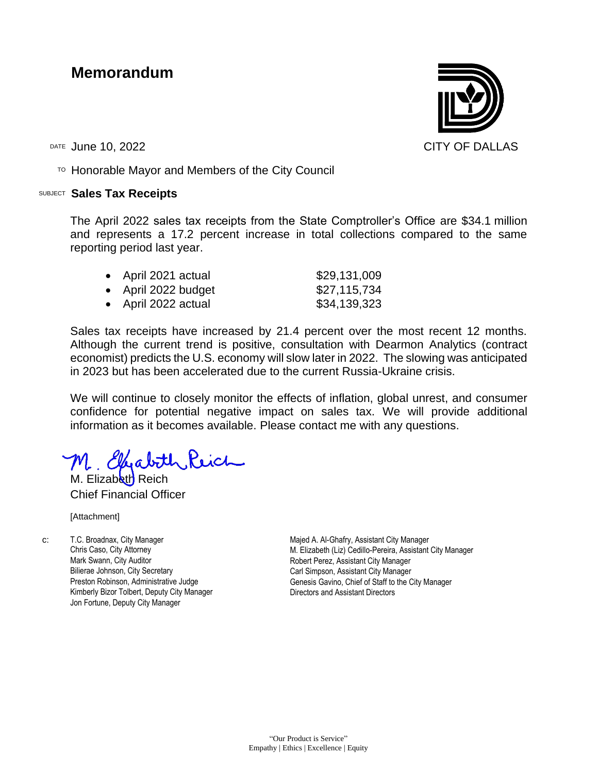## **Memorandum**

 $T$ <sup>O</sup> Honorable Mayor and Members of the City Council

## SUBJECT **Sales Tax Receipts**

The April 2022 sales tax receipts from the State Comptroller's Office are \$34.1 million and represents a 17.2 percent increase in total collections compared to the same reporting period last year.

| • April 2021 actual | \$29,131,009 |
|---------------------|--------------|
| • April 2022 budget | \$27,115,734 |
| • April 2022 actual | \$34,139,323 |

Sales tax receipts have increased by 21.4 percent over the most recent 12 months. Although the current trend is positive, consultation with Dearmon Analytics (contract economist) predicts the U.S. economy will slow later in 2022. The slowing was anticipated in 2023 but has been accelerated due to the current Russia-Ukraine crisis.

We will continue to closely monitor the effects of inflation, global unrest, and consumer confidence for potential negative impact on sales tax. We will provide additional information as it becomes available. Please contact me with any questions.

M. Effabith Reich

M. Elizabeth Reich Chief Financial Officer

[Attachment]

c: T.C. Broadnax, City Manager Chris Caso, City Attorney Mark Swann, City Auditor Bilierae Johnson, City Secretary Preston Robinson, Administrative Judge Kimberly Bizor Tolbert, Deputy City Manager Jon Fortune, Deputy City Manager

Majed A. Al-Ghafry, Assistant City Manager M. Elizabeth (Liz) Cedillo-Pereira, Assistant City Manager Robert Perez, Assistant City Manager Carl Simpson, Assistant City Manager Genesis Gavino, Chief of Staff to the City Manager Directors and Assistant Directors